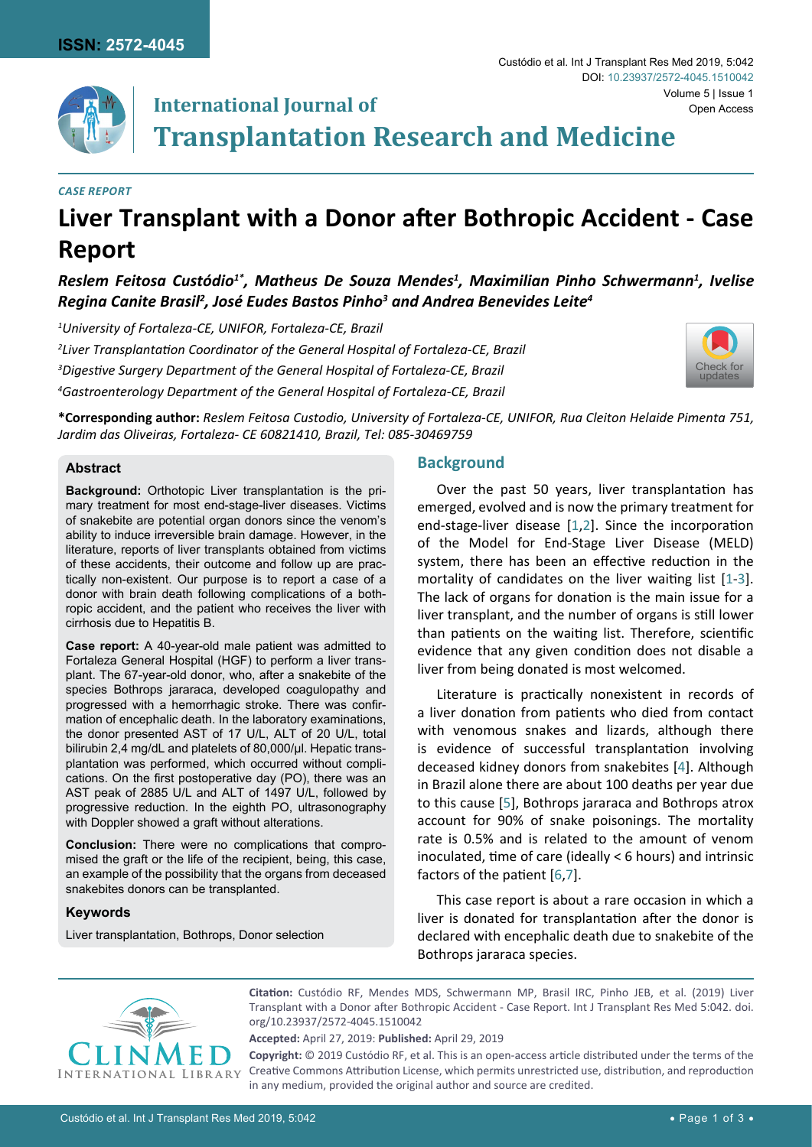

# **International Journal of Transplantation Research and Medicine**

### *Case Report*

# **Liver Transplant with a Donor after Bothropic Accident - Case Report**

*Reslem Feitosa Custódio1\*, Matheus De Souza Mendes1 , Maximilian Pinho Schwermann1 , Ivelise Regina Canite Brasil2 , José Eudes Bastos Pinho3 and Andrea Benevides Leite4*

 *University of Fortaleza-CE, UNIFOR, Fortaleza-CE, Brazil Liver Transplantation Coordinator of the General Hospital of Fortaleza-CE, Brazil Digestive Surgery Department of the General Hospital of Fortaleza-CE, Brazil Gastroenterology Department of the General Hospital of Fortaleza-CE, Brazil*



**\*Corresponding author:** *Reslem Feitosa Custodio, University of Fortaleza-CE, UNIFOR, Rua Cleiton Helaide Pimenta 751, Jardim das Oliveiras, Fortaleza- CE 60821410, Brazil, Tel: 085-30469759*

## **Abstract**

**Background:** Orthotopic Liver transplantation is the primary treatment for most end-stage-liver diseases. Victims of snakebite are potential organ donors since the venom's ability to induce irreversible brain damage. However, in the literature, reports of liver transplants obtained from victims of these accidents, their outcome and follow up are practically non-existent. Our purpose is to report a case of a donor with brain death following complications of a bothropic accident, and the patient who receives the liver with cirrhosis due to Hepatitis B.

**Case report:** A 40-year-old male patient was admitted to Fortaleza General Hospital (HGF) to perform a liver transplant. The 67-year-old donor, who, after a snakebite of the species Bothrops jararaca, developed coagulopathy and progressed with a hemorrhagic stroke. There was confirmation of encephalic death. In the laboratory examinations, the donor presented AST of 17 U/L, ALT of 20 U/L, total bilirubin 2,4 mg/dL and platelets of 80,000/µl. Hepatic transplantation was performed, which occurred without complications. On the first postoperative day (PO), there was an AST peak of 2885 U/L and ALT of 1497 U/L, followed by progressive reduction. In the eighth PO, ultrasonography with Doppler showed a graft without alterations.

**Conclusion:** There were no complications that compromised the graft or the life of the recipient, being, this case, an example of the possibility that the organs from deceased snakebites donors can be transplanted.

## **Keywords**

Liver transplantation, Bothrops, Donor selection

## **Background**

Over the past 50 years, liver transplantation has emerged, evolved and is now the primary treatment for end-stage-liver disease [[1](#page-2-0)[,2](#page-2-1)]. Since the incorporation of the Model for End-Stage Liver Disease (MELD) system, there has been an effective reduction in the mortality of candidates on the liver waiting list [[1](#page-2-0)-[3\]](#page-2-2). The lack of organs for donation is the main issue for a liver transplant, and the number of organs is still lower than patients on the waiting list. Therefore, scientific evidence that any given condition does not disable a liver from being donated is most welcomed.

Literature is practically nonexistent in records of a liver donation from patients who died from contact with venomous snakes and lizards, although there is evidence of successful transplantation involving deceased kidney donors from snakebites [\[4\]](#page-2-3). Although in Brazil alone there are about 100 deaths per year due to this cause [\[5\]](#page-2-4), Bothrops jararaca and Bothrops atrox account for 90% of snake poisonings. The mortality rate is 0.5% and is related to the amount of venom inoculated, time of care (ideally < 6 hours) and intrinsic factors of the patient [[6](#page-2-5),[7](#page-2-6)].

This case report is about a rare occasion in which a liver is donated for transplantation after the donor is declared with encephalic death due to snakebite of the Bothrops jararaca species.



**Citation:** Custódio RF, Mendes MDS, Schwermann MP, Brasil IRC, Pinho JEB, et al. (2019) Liver Transplant with a Donor after Bothropic Accident - Case Report. Int J Transplant Res Med 5:042. [doi.](https://doi.org/10.23937/2572-4045.1510042) [org/10.23937/2572-4045.1510042](https://doi.org/10.23937/2572-4045.1510042)

**Accepted:** April 27, 2019: **Published:** April 29, 2019

**Copyright:** © 2019 Custódio RF, et al. This is an open-access article distributed under the terms of the Creative Commons Attribution License, which permits unrestricted use, distribution, and reproduction in any medium, provided the original author and source are credited.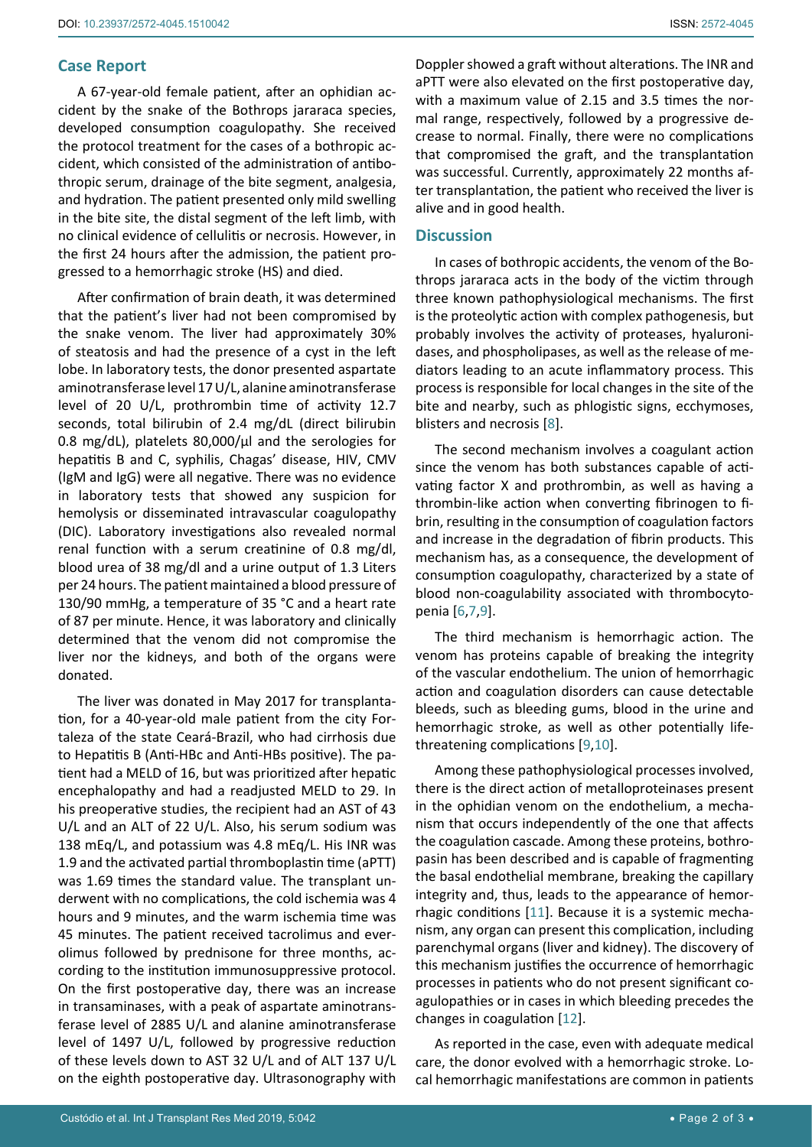## **Case Report**

A 67-year-old female patient, after an ophidian accident by the snake of the Bothrops jararaca species, developed consumption coagulopathy. She received the protocol treatment for the cases of a bothropic accident, which consisted of the administration of antibothropic serum, drainage of the bite segment, analgesia, and hydration. The patient presented only mild swelling in the bite site, the distal segment of the left limb, with no clinical evidence of cellulitis or necrosis. However, in the first 24 hours after the admission, the patient progressed to a hemorrhagic stroke (HS) and died.

After confirmation of brain death, it was determined that the patient's liver had not been compromised by the snake venom. The liver had approximately 30% of steatosis and had the presence of a cyst in the left lobe. In laboratory tests, the donor presented aspartate aminotransferase level 17 U/L, alanine aminotransferase level of 20 U/L, prothrombin time of activity 12.7 seconds, total bilirubin of 2.4 mg/dL (direct bilirubin 0.8 mg/dL), platelets 80,000/µl and the serologies for hepatitis B and C, syphilis, Chagas' disease, HIV, CMV (IgM and IgG) were all negative. There was no evidence in laboratory tests that showed any suspicion for hemolysis or disseminated intravascular coagulopathy (DIC). Laboratory investigations also revealed normal renal function with a serum creatinine of 0.8 mg/dl, blood urea of 38 mg/dl and a urine output of 1.3 Liters per 24 hours. The patient maintained a blood pressure of 130/90 mmHg, a temperature of 35 °C and a heart rate of 87 per minute. Hence, it was laboratory and clinically determined that the venom did not compromise the liver nor the kidneys, and both of the organs were donated.

The liver was donated in May 2017 for transplantation, for a 40-year-old male patient from the city Fortaleza of the state Ceará-Brazil, who had cirrhosis due to Hepatitis B (Anti-HBc and Anti-HBs positive). The patient had a MELD of 16, but was prioritized after hepatic encephalopathy and had a readjusted MELD to 29. In his preoperative studies, the recipient had an AST of 43 U/L and an ALT of 22 U/L. Also, his serum sodium was 138 mEq/L, and potassium was 4.8 mEq/L. His INR was 1.9 and the activated partial thromboplastin time (aPTT) was 1.69 times the standard value. The transplant underwent with no complications, the cold ischemia was 4 hours and 9 minutes, and the warm ischemia time was 45 minutes. The patient received tacrolimus and everolimus followed by prednisone for three months, according to the institution immunosuppressive protocol. On the first postoperative day, there was an increase in transaminases, with a peak of aspartate aminotransferase level of 2885 U/L and alanine aminotransferase level of 1497 U/L, followed by progressive reduction of these levels down to AST 32 U/L and of ALT 137 U/L on the eighth postoperative day. Ultrasonography with Doppler showed a graft without alterations. The INR and aPTT were also elevated on the first postoperative day, with a maximum value of 2.15 and 3.5 times the normal range, respectively, followed by a progressive decrease to normal. Finally, there were no complications that compromised the graft, and the transplantation was successful. Currently, approximately 22 months after transplantation, the patient who received the liver is alive and in good health.

## **Discussion**

In cases of bothropic accidents, the venom of the Bothrops jararaca acts in the body of the victim through three known pathophysiological mechanisms. The first is the proteolytic action with complex pathogenesis, but probably involves the activity of proteases, hyaluronidases, and phospholipases, as well as the release of mediators leading to an acute inflammatory process. This process is responsible for local changes in the site of the bite and nearby, such as phlogistic signs, ecchymoses, blisters and necrosis [[8](#page-2-7)].

The second mechanism involves a coagulant action since the venom has both substances capable of activating factor X and prothrombin, as well as having a thrombin-like action when converting fibrinogen to fibrin, resulting in the consumption of coagulation factors and increase in the degradation of fibrin products. This mechanism has, as a consequence, the development of consumption coagulopathy, characterized by a state of blood non-coagulability associated with thrombocytopenia [\[6](#page-2-5),[7](#page-2-6)[,9\]](#page-2-8).

The third mechanism is hemorrhagic action. The venom has proteins capable of breaking the integrity of the vascular endothelium. The union of hemorrhagic action and coagulation disorders can cause detectable bleeds, such as bleeding gums, blood in the urine and hemorrhagic stroke, as well as other potentially lifethreatening complications [[9](#page-2-8),[10](#page-2-9)].

Among these pathophysiological processes involved, there is the direct action of metalloproteinases present in the ophidian venom on the endothelium, a mechanism that occurs independently of the one that affects the coagulation cascade. Among these proteins, bothropasin has been described and is capable of fragmenting the basal endothelial membrane, breaking the capillary integrity and, thus, leads to the appearance of hemorrhagic conditions [[11\]](#page-2-10). Because it is a systemic mechanism, any organ can present this complication, including parenchymal organs (liver and kidney). The discovery of this mechanism justifies the occurrence of hemorrhagic processes in patients who do not present significant coagulopathies or in cases in which bleeding precedes the changes in coagulation [[12\]](#page-2-11).

As reported in the case, even with adequate medical care, the donor evolved with a hemorrhagic stroke. Local hemorrhagic manifestations are common in patients